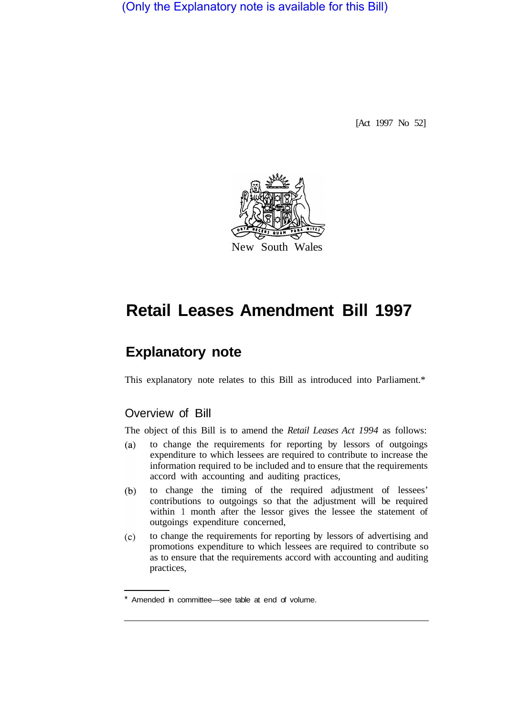(Only the Explanatory note is available for this Bill)

[Act 1997 No 52]



# **Retail Leases Amendment Bill 1997**

## **Explanatory note**

This explanatory note relates to this Bill as introduced into Parliament.\*

### Overview of Bill

The object of this Bill is to amend the *Retail Leases Act 1994* as follows:

- $(a)$ to change the requirements for reporting by lessors of outgoings expenditure to which lessees are required to contribute to increase the information required to be included and to ensure that the requirements accord with accounting and auditing practices,
- to change the timing of the required adjustment of lessees'  $(b)$ contributions to outgoings so that the adjustment will be required within 1 month after the lessor gives the lessee the statement of outgoings expenditure concerned,
- $(c)$ to change the requirements for reporting by lessors of advertising and promotions expenditure to which lessees are required to contribute so as to ensure that the requirements accord with accounting and auditing practices,

Amended in committee—see table at end of volume.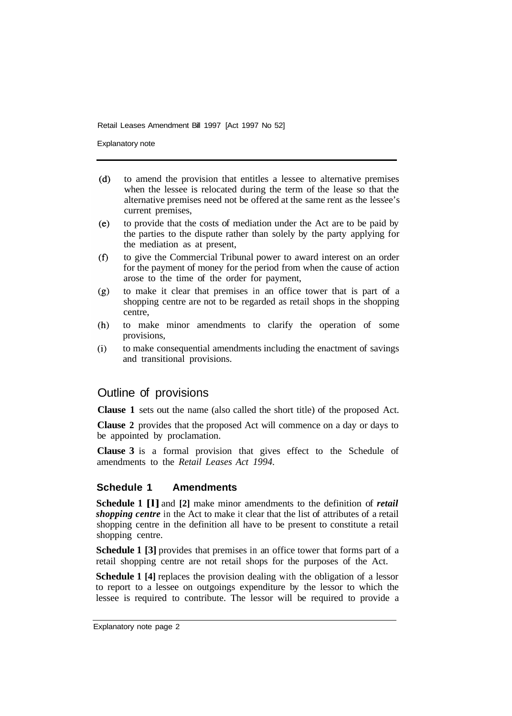Retail Leases Amendment Bill 1997 [Act 1997 No 52]

Explanatory note

- $(d)$ to amend the provision that entitles a lessee to alternative premises when the lessee is relocated during the term of the lease so that the alternative premises need not be offered at the same rent as the lessee's current premises,
- $(e)$ to provide that the costs of mediation under the Act are to be paid by the parties to the dispute rather than solely by the party applying for the mediation as at present,
- $(f)$ to give the Commercial Tribunal power to award interest on an order for the payment of money for the period from when the cause of action arose to the time of the order for payment,
- to make it clear that premises in an office tower that is part of a  $(g)$ shopping centre are not to be regarded as retail shops in the shopping centre,
- $(h)$ to make minor amendments to clarify the operation of some provisions,
- $(i)$ to make consequential amendments including the enactment of savings and transitional provisions.

#### Outline of provisions

**Clause 1** sets out the name (also called the short title) of the proposed Act.

**Clause 2** provides that the proposed Act will commence on a day or days to be appointed by proclamation.

**Clause 3** is a formal provision that gives effect to the Schedule of amendments to the *Retail Leases Act 1994.* 

#### **Schedule 1 Amendments**

**Schedule 1 [l]** and **[2]** make minor amendments to the definition of *retail shopping centre* in the Act to make it clear that the list of attributes of a retail shopping centre in the definition all have to be present to constitute a retail shopping centre.

**Schedule 1 [3]** provides that premises in an office tower that forms part of a retail shopping centre are not retail shops for the purposes of the Act.

**Schedule 1 [4]** replaces the provision dealing with the obligation of a lessor to report to a lessee on outgoings expenditure by the lessor to which the lessee is required to contribute. The lessor will be required to provide a